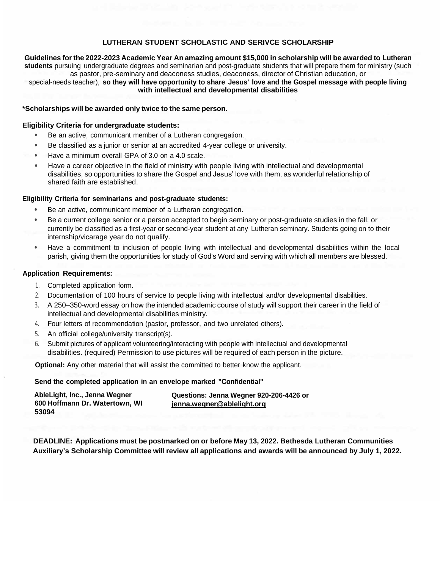### **LUTHERAN STUDENT SCHOLASTIC AND SERIVCE SCHOLARSHIP**

**Guidelines forthe2022-2023 Academic Year An amazing amount \$15,000 in scholarship will be awarded to Lutheran students** pursuing undergraduate degrees and seminarian and post-graduate students that will prepare them for ministry (such as pastor, pre-seminary and deaconess studies, deaconess, director of Christian education, or

special-needs teacher), **so they will have opportunity to share Jesus' love and the Gospel message with people living with intellectual and developmental disabilities**

### **\*Scholarships will be awarded only twice to the same person.**

#### **Eligibility Criteria for undergraduate students:**

- Be an active, communicant member of a Lutheran congregation.
- Be classified as a junior or senior at an accredited 4-year college or university.
- Have a minimum overall GPA of 3.0 on a 4.0 scale.
- Have a career objective in the field of ministry with people living with intellectual and developmental disabilities, so opportunities to share the Gospel and Jesus' love with them, as wonderful relationship of shared faith are established.

### **Eligibility Criteria for seminarians and post-graduate students:**

- Be an active, communicant member of a Lutheran congregation.
- Be a current college senior or a person accepted to begin seminary or post-graduate studies in the fall, or currently be classified as a first-year or second-year student at any Lutheran seminary. Students going on to their internship/vicarage year do not qualify.
- Have a commitment to inclusion of people living with intellectual and developmental disabilities within the local parish, giving them the opportunities for study of God's Word and serving with which all members are blessed.

### **Application Requirements:**

- 1. Completed application form.
- 2. Documentation of 100 hours of service to people living with intellectual and/or developmental disabilities.
- 3. A 250–350-word essay onhow the intended academic course of study will support their career in the field of intellectual and developmental disabilities ministry.
- 4. Four letters of recommendation (pastor, professor, and two unrelated others).
- 5. An official college/university transcript(s).
- 6. Submit pictures of applicant volunteering/interacting with people with intellectual and developmental disabilities. (required) Permission to use pictures will be required of each person in the picture.

**Optional:** Any other material that will assist the committed to better know the applicant.

**Send the completed application in an envelope marked "Confidential"**

| AbleLight, Inc., Jenna Wegner  | Questions: Jenna Wegner 920-206-4426 or |
|--------------------------------|-----------------------------------------|
| 600 Hoffmann Dr. Watertown, WI | jenna.wegner@ablelight.org              |
| 53094                          |                                         |

**DEADLINE: Applications must be postmarked on or before May13, 2022. Bethesda Lutheran Communities Auxiliary's Scholarship Committee will review all applications and awards will be announced by July 1, 2022.**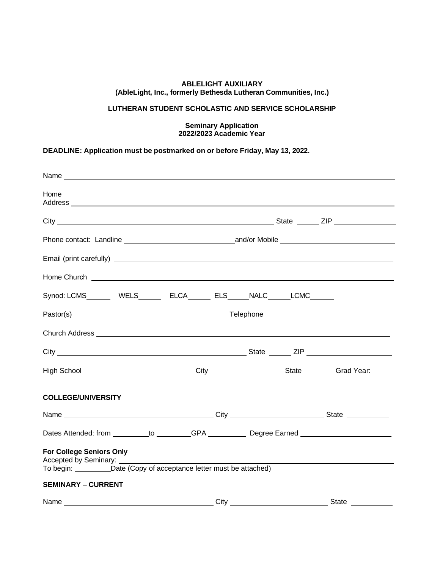### **ABLELIGHT AUXILIARY (AbleLight, Inc., formerly Bethesda Lutheran Communities, Inc.)**

# **LUTHERAN STUDENT SCHOLASTIC AND SERVICE SCHOLARSHIP**

#### **Seminary Application 2022/2023 Academic Year**

# **DEADLINE: Application must be postmarked on or before Friday, May 13, 2022.**

| Name experience and the second contract of the second contract of the second contract of the second contract of the second contract of the second contract of the second contract of the second contract of the second contrac       |  |  |                 |  |
|--------------------------------------------------------------------------------------------------------------------------------------------------------------------------------------------------------------------------------------|--|--|-----------------|--|
| Home                                                                                                                                                                                                                                 |  |  |                 |  |
|                                                                                                                                                                                                                                      |  |  |                 |  |
|                                                                                                                                                                                                                                      |  |  |                 |  |
|                                                                                                                                                                                                                                      |  |  |                 |  |
| Home Church <u>the community of the community of the community of the community of the community of the community of the community of the community of the community of the community of the community of the community of the c</u> |  |  |                 |  |
| Synod: LCMS WELS ELCA ELS NALC LCMC                                                                                                                                                                                                  |  |  |                 |  |
|                                                                                                                                                                                                                                      |  |  |                 |  |
|                                                                                                                                                                                                                                      |  |  |                 |  |
|                                                                                                                                                                                                                                      |  |  |                 |  |
| High School _________________________________City _________________________State __________Grad Year: _______                                                                                                                        |  |  |                 |  |
| <b>COLLEGE/UNIVERSITY</b>                                                                                                                                                                                                            |  |  |                 |  |
|                                                                                                                                                                                                                                      |  |  |                 |  |
| Dates Attended: from ________to ________GPA ___________Degree Earned ___________________                                                                                                                                             |  |  |                 |  |
| <b>For College Seniors Only</b><br>Accepted by Seminary: 1990<br>To begin: ___________Date (Copy of acceptance letter must be attached)<br><b>SEMINARY - CURRENT</b>                                                                 |  |  |                 |  |
|                                                                                                                                                                                                                                      |  |  | State _________ |  |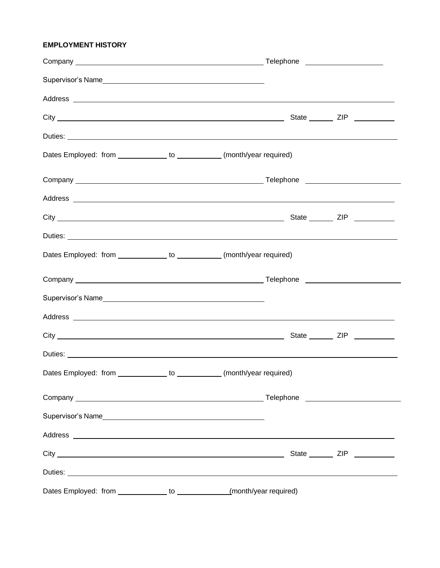# **EMPLOYMENT HISTORY**

| Supervisor's Name<br><u>Supervisor's Name</u>                                                                                                                                                                                          |                                                                            |  |
|----------------------------------------------------------------------------------------------------------------------------------------------------------------------------------------------------------------------------------------|----------------------------------------------------------------------------|--|
|                                                                                                                                                                                                                                        |                                                                            |  |
|                                                                                                                                                                                                                                        |                                                                            |  |
|                                                                                                                                                                                                                                        |                                                                            |  |
| Dates Employed: from ______________ to ____________ (month/year required)                                                                                                                                                              |                                                                            |  |
|                                                                                                                                                                                                                                        |                                                                            |  |
|                                                                                                                                                                                                                                        |                                                                            |  |
|                                                                                                                                                                                                                                        |                                                                            |  |
|                                                                                                                                                                                                                                        |                                                                            |  |
| Dates Employed: from _____________ to ___________ (month/year required)                                                                                                                                                                |                                                                            |  |
|                                                                                                                                                                                                                                        |                                                                            |  |
|                                                                                                                                                                                                                                        |                                                                            |  |
|                                                                                                                                                                                                                                        |                                                                            |  |
|                                                                                                                                                                                                                                        |                                                                            |  |
|                                                                                                                                                                                                                                        |                                                                            |  |
| Dates Employed: from ______________ to ____________ (month/year required)                                                                                                                                                              |                                                                            |  |
|                                                                                                                                                                                                                                        |                                                                            |  |
| Supervisor's Name<br><u> and the contract of the contract of the contract of the contract of the contract of the contract of the contract of the contract of the contract of the contract of the contract of the contract of the c</u> |                                                                            |  |
|                                                                                                                                                                                                                                        |                                                                            |  |
|                                                                                                                                                                                                                                        |                                                                            |  |
|                                                                                                                                                                                                                                        |                                                                            |  |
|                                                                                                                                                                                                                                        | Dates Employed: from ______________ to ______________(month/year required) |  |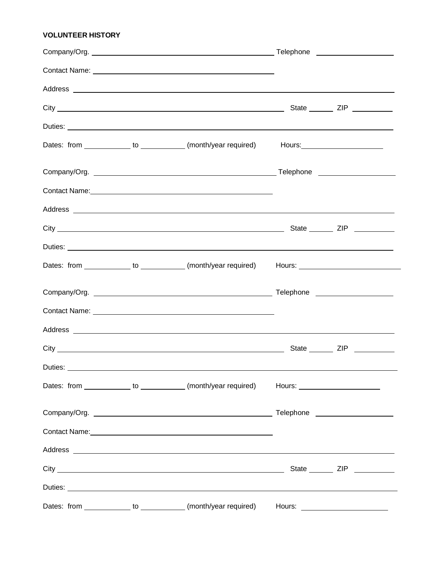# **VOLUNTEER HISTORY**

|         | Dates: from _____________to ___________ (month/year required) Hours: _______________________________            |                                   |
|---------|-----------------------------------------------------------------------------------------------------------------|-----------------------------------|
|         |                                                                                                                 |                                   |
|         | Contact Name: Name and Second Contact Name and Second Contact Name and Second Contact Name and Second Contact N |                                   |
|         |                                                                                                                 |                                   |
|         |                                                                                                                 |                                   |
|         |                                                                                                                 |                                   |
|         | Dates: from _____________to ___________(month/year required) Hours: _______________________________             |                                   |
|         |                                                                                                                 |                                   |
|         |                                                                                                                 |                                   |
|         |                                                                                                                 |                                   |
|         |                                                                                                                 |                                   |
| Duties: |                                                                                                                 |                                   |
|         | Dates: from ______________ to ____________ (month/year required) Hours: ___________________________             |                                   |
|         |                                                                                                                 |                                   |
|         |                                                                                                                 |                                   |
|         |                                                                                                                 |                                   |
|         |                                                                                                                 |                                   |
|         |                                                                                                                 |                                   |
|         | Dates: from _____________ to ____________ (month/year required)                                                 | Hours: __________________________ |